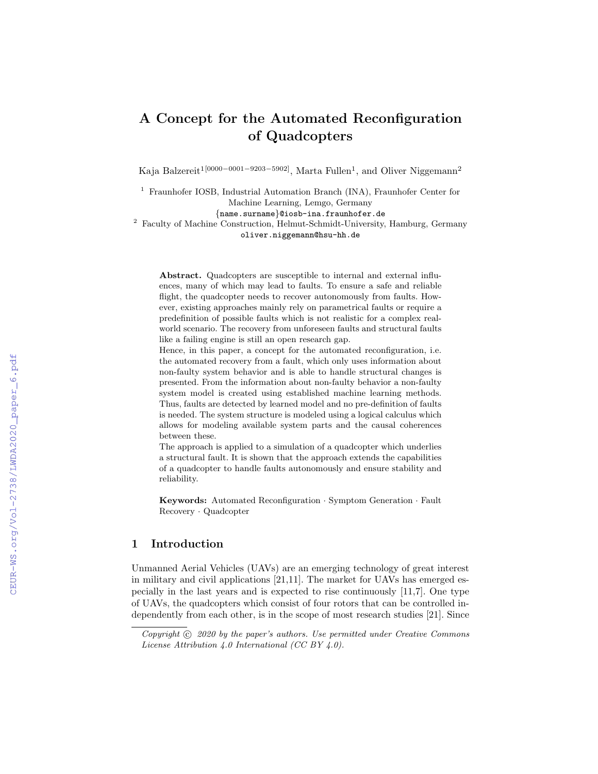# A Concept for the Automated Reconfiguration of Quadcopters

Kaja Balzereit<sup>1[0000–0001–9203–5902]</sup>, Marta Fullen<sup>1</sup>, and Oliver Niggemann<sup>2</sup>

<sup>1</sup> Fraunhofer IOSB, Industrial Automation Branch (INA), Fraunhofer Center for Machine Learning, Lemgo, Germany

{name.surname}@iosb-ina.fraunhofer.de

<sup>2</sup> Faculty of Machine Construction, Helmut-Schmidt-University, Hamburg, Germany oliver.niggemann@hsu-hh.de

Abstract. Quadcopters are susceptible to internal and external influences, many of which may lead to faults. To ensure a safe and reliable flight, the quadcopter needs to recover autonomously from faults. However, existing approaches mainly rely on parametrical faults or require a predefinition of possible faults which is not realistic for a complex realworld scenario. The recovery from unforeseen faults and structural faults like a failing engine is still an open research gap.

Hence, in this paper, a concept for the automated reconfiguration, i.e. the automated recovery from a fault, which only uses information about non-faulty system behavior and is able to handle structural changes is presented. From the information about non-faulty behavior a non-faulty system model is created using established machine learning methods. Thus, faults are detected by learned model and no pre-definition of faults is needed. The system structure is modeled using a logical calculus which allows for modeling available system parts and the causal coherences between these.

The approach is applied to a simulation of a quadcopter which underlies a structural fault. It is shown that the approach extends the capabilities of a quadcopter to handle faults autonomously and ensure stability and reliability.

Keywords: Automated Reconfiguration · Symptom Generation · Fault Recovery · Quadcopter

#### 1 Introduction

Unmanned Aerial Vehicles (UAVs) are an emerging technology of great interest in military and civil applications [21,11]. The market for UAVs has emerged especially in the last years and is expected to rise continuously [11,7]. One type of UAVs, the quadcopters which consist of four rotors that can be controlled independently from each other, is in the scope of most research studies [21]. Since

Copyright  $\odot$  2020 by the paper's authors. Use permitted under Creative Commons License Attribution 4.0 International (CC BY 4.0).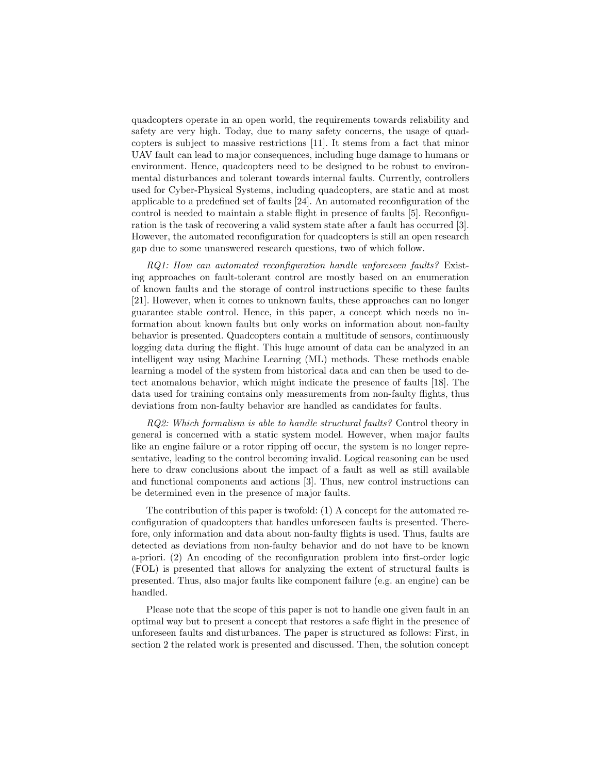quadcopters operate in an open world, the requirements towards reliability and safety are very high. Today, due to many safety concerns, the usage of quadcopters is subject to massive restrictions [11]. It stems from a fact that minor UAV fault can lead to major consequences, including huge damage to humans or environment. Hence, quadcopters need to be designed to be robust to environmental disturbances and tolerant towards internal faults. Currently, controllers used for Cyber-Physical Systems, including quadcopters, are static and at most applicable to a predefined set of faults [24]. An automated reconfiguration of the control is needed to maintain a stable flight in presence of faults [5]. Reconfiguration is the task of recovering a valid system state after a fault has occurred [3]. However, the automated reconfiguration for quadcopters is still an open research gap due to some unanswered research questions, two of which follow.

RQ1: How can automated reconfiguration handle unforeseen faults? Existing approaches on fault-tolerant control are mostly based on an enumeration of known faults and the storage of control instructions specific to these faults [21]. However, when it comes to unknown faults, these approaches can no longer guarantee stable control. Hence, in this paper, a concept which needs no information about known faults but only works on information about non-faulty behavior is presented. Quadcopters contain a multitude of sensors, continuously logging data during the flight. This huge amount of data can be analyzed in an intelligent way using Machine Learning (ML) methods. These methods enable learning a model of the system from historical data and can then be used to detect anomalous behavior, which might indicate the presence of faults [18]. The data used for training contains only measurements from non-faulty flights, thus deviations from non-faulty behavior are handled as candidates for faults.

RQ2: Which formalism is able to handle structural faults? Control theory in general is concerned with a static system model. However, when major faults like an engine failure or a rotor ripping off occur, the system is no longer representative, leading to the control becoming invalid. Logical reasoning can be used here to draw conclusions about the impact of a fault as well as still available and functional components and actions [3]. Thus, new control instructions can be determined even in the presence of major faults.

The contribution of this paper is twofold: (1) A concept for the automated reconfiguration of quadcopters that handles unforeseen faults is presented. Therefore, only information and data about non-faulty flights is used. Thus, faults are detected as deviations from non-faulty behavior and do not have to be known a-priori. (2) An encoding of the reconfiguration problem into first-order logic (FOL) is presented that allows for analyzing the extent of structural faults is presented. Thus, also major faults like component failure (e.g. an engine) can be handled.

Please note that the scope of this paper is not to handle one given fault in an optimal way but to present a concept that restores a safe flight in the presence of unforeseen faults and disturbances. The paper is structured as follows: First, in section 2 the related work is presented and discussed. Then, the solution concept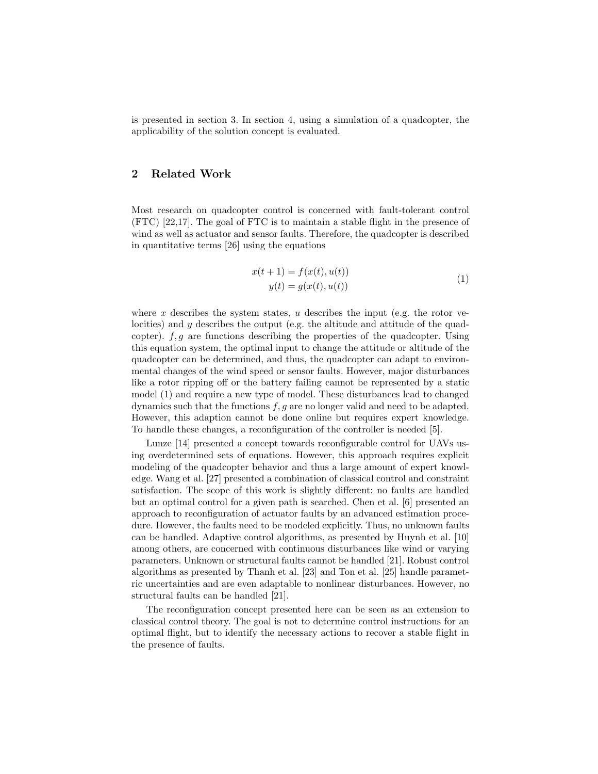is presented in section 3. In section 4, using a simulation of a quadcopter, the applicability of the solution concept is evaluated.

# 2 Related Work

Most research on quadcopter control is concerned with fault-tolerant control (FTC) [22,17]. The goal of FTC is to maintain a stable flight in the presence of wind as well as actuator and sensor faults. Therefore, the quadcopter is described in quantitative terms [26] using the equations

$$
x(t + 1) = f(x(t), u(t))
$$
  
y(t) = g(x(t), u(t)) (1)

where x describes the system states, u describes the input (e.g. the rotor velocities) and y describes the output (e.g. the altitude and attitude of the quadcopter).  $f, g$  are functions describing the properties of the quadcopter. Using this equation system, the optimal input to change the attitude or altitude of the quadcopter can be determined, and thus, the quadcopter can adapt to environmental changes of the wind speed or sensor faults. However, major disturbances like a rotor ripping off or the battery failing cannot be represented by a static model (1) and require a new type of model. These disturbances lead to changed dynamics such that the functions  $f, g$  are no longer valid and need to be adapted. However, this adaption cannot be done online but requires expert knowledge. To handle these changes, a reconfiguration of the controller is needed [5].

Lunze [14] presented a concept towards reconfigurable control for UAVs using overdetermined sets of equations. However, this approach requires explicit modeling of the quadcopter behavior and thus a large amount of expert knowledge. Wang et al. [27] presented a combination of classical control and constraint satisfaction. The scope of this work is slightly different: no faults are handled but an optimal control for a given path is searched. Chen et al. [6] presented an approach to reconfiguration of actuator faults by an advanced estimation procedure. However, the faults need to be modeled explicitly. Thus, no unknown faults can be handled. Adaptive control algorithms, as presented by Huynh et al. [10] among others, are concerned with continuous disturbances like wind or varying parameters. Unknown or structural faults cannot be handled [21]. Robust control algorithms as presented by Thanh et al. [23] and Ton et al. [25] handle parametric uncertainties and are even adaptable to nonlinear disturbances. However, no structural faults can be handled [21].

The reconfiguration concept presented here can be seen as an extension to classical control theory. The goal is not to determine control instructions for an optimal flight, but to identify the necessary actions to recover a stable flight in the presence of faults.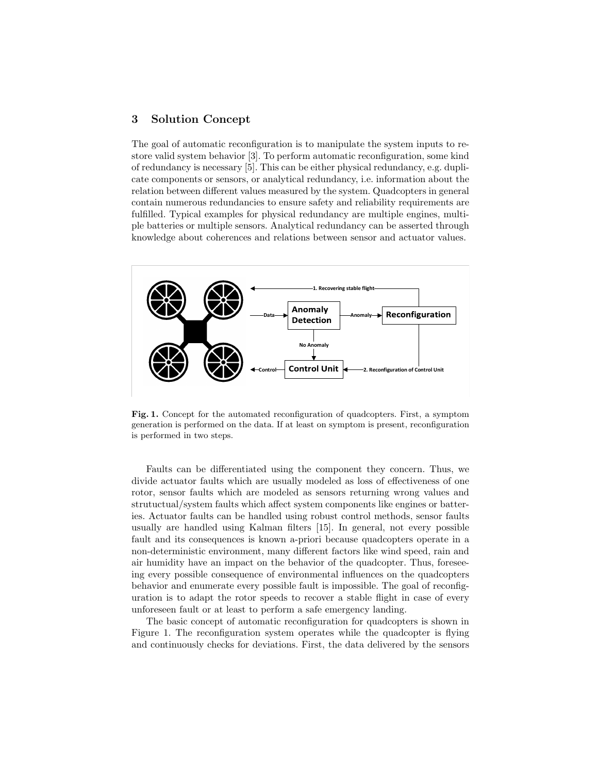# 3 Solution Concept

The goal of automatic reconfiguration is to manipulate the system inputs to restore valid system behavior [3]. To perform automatic reconfiguration, some kind of redundancy is necessary [5]. This can be either physical redundancy, e.g. duplicate components or sensors, or analytical redundancy, i.e. information about the relation between different values measured by the system. Quadcopters in general contain numerous redundancies to ensure safety and reliability requirements are fulfilled. Typical examples for physical redundancy are multiple engines, multiple batteries or multiple sensors. Analytical redundancy can be asserted through knowledge about coherences and relations between sensor and actuator values.



Fig. 1. Concept for the automated reconfiguration of quadcopters. First, a symptom generation is performed on the data. If at least on symptom is present, reconfiguration is performed in two steps.

Faults can be differentiated using the component they concern. Thus, we divide actuator faults which are usually modeled as loss of effectiveness of one rotor, sensor faults which are modeled as sensors returning wrong values and strutuctual/system faults which affect system components like engines or batteries. Actuator faults can be handled using robust control methods, sensor faults usually are handled using Kalman filters [15]. In general, not every possible fault and its consequences is known a-priori because quadcopters operate in a non-deterministic environment, many different factors like wind speed, rain and air humidity have an impact on the behavior of the quadcopter. Thus, foreseeing every possible consequence of environmental influences on the quadcopters behavior and enumerate every possible fault is impossible. The goal of reconfiguration is to adapt the rotor speeds to recover a stable flight in case of every unforeseen fault or at least to perform a safe emergency landing.

The basic concept of automatic reconfiguration for quadcopters is shown in Figure 1. The reconfiguration system operates while the quadcopter is flying and continuously checks for deviations. First, the data delivered by the sensors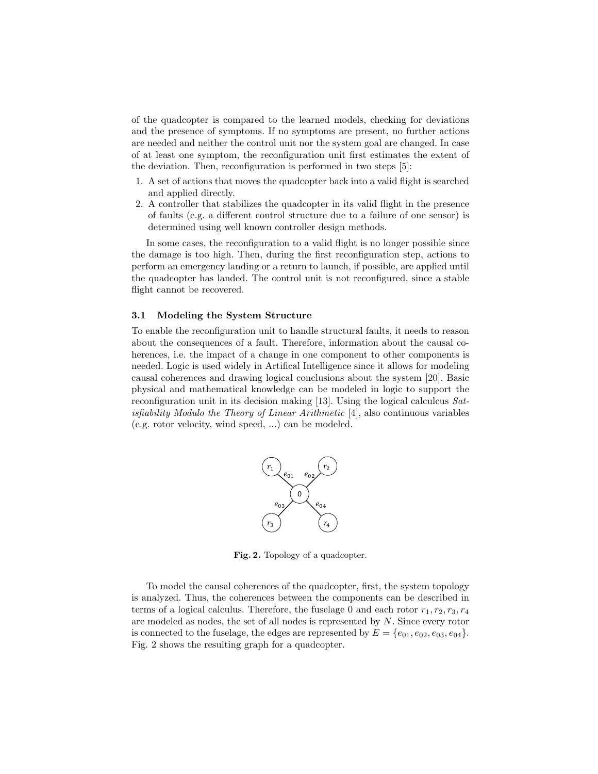of the quadcopter is compared to the learned models, checking for deviations and the presence of symptoms. If no symptoms are present, no further actions are needed and neither the control unit nor the system goal are changed. In case of at least one symptom, the reconfiguration unit first estimates the extent of the deviation. Then, reconfiguration is performed in two steps [5]:

- 1. A set of actions that moves the quadcopter back into a valid flight is searched and applied directly.
- 2. A controller that stabilizes the quadcopter in its valid flight in the presence of faults (e.g. a different control structure due to a failure of one sensor) is determined using well known controller design methods.

In some cases, the reconfiguration to a valid flight is no longer possible since the damage is too high. Then, during the first reconfiguration step, actions to perform an emergency landing or a return to launch, if possible, are applied until the quadcopter has landed. The control unit is not reconfigured, since a stable flight cannot be recovered.

#### 3.1 Modeling the System Structure

To enable the reconfiguration unit to handle structural faults, it needs to reason about the consequences of a fault. Therefore, information about the causal coherences, i.e. the impact of a change in one component to other components is needed. Logic is used widely in Artifical Intelligence since it allows for modeling causal coherences and drawing logical conclusions about the system [20]. Basic physical and mathematical knowledge can be modeled in logic to support the reconfiguration unit in its decision making [13]. Using the logical calculcus Satisfiability Modulo the Theory of Linear Arithmetic [4], also continuous variables (e.g. rotor velocity, wind speed, ...) can be modeled.



Fig. 2. Topology of a quadcopter.

To model the causal coherences of the quadcopter, first, the system topology is analyzed. Thus, the coherences between the components can be described in terms of a logical calculus. Therefore, the fuselage 0 and each rotor  $r_1, r_2, r_3, r_4$ are modeled as nodes, the set of all nodes is represented by N. Since every rotor is connected to the fuselage, the edges are represented by  $E = \{e_{01}, e_{02}, e_{03}, e_{04}\}.$ Fig. 2 shows the resulting graph for a quadcopter.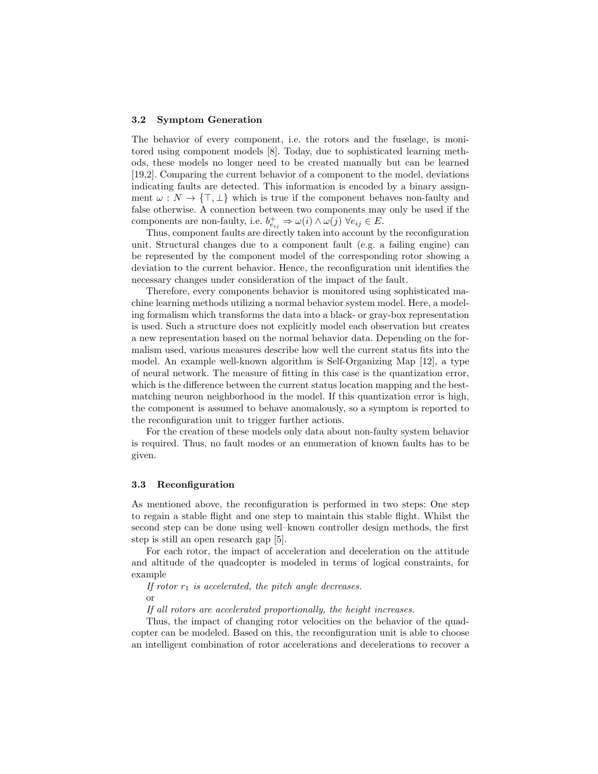#### 3.2 Symptom Generation

The behavior of every component, i.e. the rotors and the fuselage, is monitored using component models [8]. Today, due to sophisticated learning methods, these models no longer need to be created manually but can be learned [19,2]. Comparing the current behavior of a component to the model, deviations indicating faults are detected. This information is encoded by a binary assignment  $\omega : N \to {\{\top, \bot\}}$  which is true if the component behaves non-faulty and false otherwise. A connection between two components may only be used if the components are non-faulty, i.e.  $b_{e_{ij}}^+ \Rightarrow \omega(i) \wedge \omega(j) \; \forall e_{ij} \in E$ .

Thus, component faults are directly taken into account by the reconfiguration unit. Structural changes due to a component fault (e.g. a failing engine) can be represented by the component model of the corresponding rotor showing a deviation to the current behavior. Hence, the reconfiguration unit identifies the necessary changes under consideration of the impact of the fault.

Therefore, every components behavior is monitored using sophisticated machine learning methods utilizing a normal behavior system model. Here, a modeling formalism which transforms the data into a black- or gray-box representation is used. Such a structure does not explicitly model each observation but creates a new representation based on the normal behavior data. Depending on the formalism used, various measures describe how well the current status fits into the model. An example well-known algorithm is Self-Organizing Map [12], a type of neural network. The measure of fitting in this case is the quantization error, which is the difference between the current status location mapping and the bestmatching neuron neighborhood in the model. If this quantization error is high, the component is assumed to behave anomalously, so a symptom is reported to the reconfiguration unit to trigger further actions.

For the creation of these models only data about non-faulty system behavior is required. Thus, no fault modes or an enumeration of known faults has to be given.

#### 3.3 Reconfiguration

As mentioned above, the reconfiguration is performed in two steps: One step to regain a stable flight and one step to maintain this stable flight. Whilst the second step can be done using well–known controller design methods, the first step is still an open research gap [5].

For each rotor, the impact of acceleration and deceleration on the attitude and altitude of the quadcopter is modeled in terms of logical constraints, for example

If rotor  $r_1$  is accelerated, the pitch angle decreases. or

If all rotors are accelerated proportionally, the height increases.

Thus, the impact of changing rotor velocities on the behavior of the quadcopter can be modeled. Based on this, the reconfiguration unit is able to choose an intelligent combination of rotor accelerations and decelerations to recover a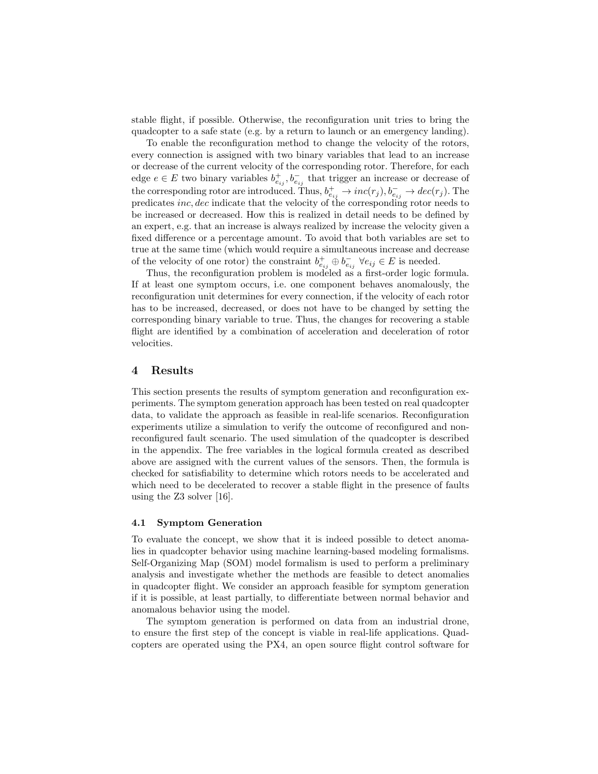stable flight, if possible. Otherwise, the reconfiguration unit tries to bring the quadcopter to a safe state (e.g. by a return to launch or an emergency landing).

To enable the reconfiguration method to change the velocity of the rotors, every connection is assigned with two binary variables that lead to an increase or decrease of the current velocity of the corresponding rotor. Therefore, for each edge  $e \in E$  two binary variables  $b_{e_{ij}}^+, b_{e_{ij}}^-$  that trigger an increase or decrease of the corresponding rotor are introduced. Thus,  $b_{e_{ij}}^+ \to inc(r_j), b_{e_{ij}}^- \to dec(r_j)$ . The predicates inc, dec indicate that the velocity of the corresponding rotor needs to be increased or decreased. How this is realized in detail needs to be defined by an expert, e.g. that an increase is always realized by increase the velocity given a fixed difference or a percentage amount. To avoid that both variables are set to true at the same time (which would require a simultaneous increase and decrease of the velocity of one rotor) the constraint  $b_{e_{ij}}^+ \oplus b_{e_{ij}}^- \forall e_{ij} \in E$  is needed.

Thus, the reconfiguration problem is modeled as a first-order logic formula. If at least one symptom occurs, i.e. one component behaves anomalously, the reconfiguration unit determines for every connection, if the velocity of each rotor has to be increased, decreased, or does not have to be changed by setting the corresponding binary variable to true. Thus, the changes for recovering a stable flight are identified by a combination of acceleration and deceleration of rotor velocities.

#### 4 Results

This section presents the results of symptom generation and reconfiguration experiments. The symptom generation approach has been tested on real quadcopter data, to validate the approach as feasible in real-life scenarios. Reconfiguration experiments utilize a simulation to verify the outcome of reconfigured and nonreconfigured fault scenario. The used simulation of the quadcopter is described in the appendix. The free variables in the logical formula created as described above are assigned with the current values of the sensors. Then, the formula is checked for satisfiability to determine which rotors needs to be accelerated and which need to be decelerated to recover a stable flight in the presence of faults using the Z3 solver [16].

#### 4.1 Symptom Generation

To evaluate the concept, we show that it is indeed possible to detect anomalies in quadcopter behavior using machine learning-based modeling formalisms. Self-Organizing Map (SOM) model formalism is used to perform a preliminary analysis and investigate whether the methods are feasible to detect anomalies in quadcopter flight. We consider an approach feasible for symptom generation if it is possible, at least partially, to differentiate between normal behavior and anomalous behavior using the model.

The symptom generation is performed on data from an industrial drone, to ensure the first step of the concept is viable in real-life applications. Quadcopters are operated using the PX4, an open source flight control software for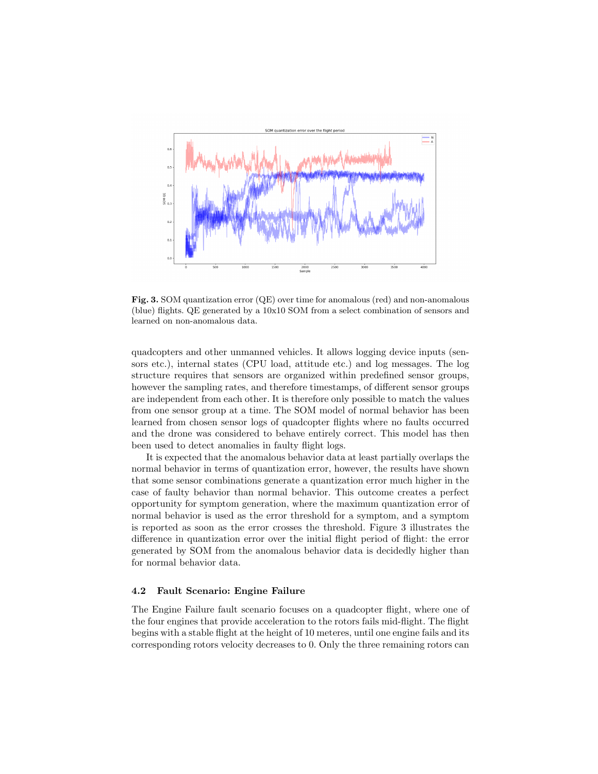

Fig. 3. SOM quantization error (QE) over time for anomalous (red) and non-anomalous (blue) flights. QE generated by a 10x10 SOM from a select combination of sensors and learned on non-anomalous data.

quadcopters and other unmanned vehicles. It allows logging device inputs (sensors etc.), internal states (CPU load, attitude etc.) and log messages. The log structure requires that sensors are organized within predefined sensor groups, however the sampling rates, and therefore timestamps, of different sensor groups are independent from each other. It is therefore only possible to match the values from one sensor group at a time. The SOM model of normal behavior has been learned from chosen sensor logs of quadcopter flights where no faults occurred and the drone was considered to behave entirely correct. This model has then been used to detect anomalies in faulty flight logs.

It is expected that the anomalous behavior data at least partially overlaps the normal behavior in terms of quantization error, however, the results have shown that some sensor combinations generate a quantization error much higher in the case of faulty behavior than normal behavior. This outcome creates a perfect opportunity for symptom generation, where the maximum quantization error of normal behavior is used as the error threshold for a symptom, and a symptom is reported as soon as the error crosses the threshold. Figure 3 illustrates the difference in quantization error over the initial flight period of flight: the error generated by SOM from the anomalous behavior data is decidedly higher than for normal behavior data.

#### 4.2 Fault Scenario: Engine Failure

The Engine Failure fault scenario focuses on a quadcopter flight, where one of the four engines that provide acceleration to the rotors fails mid-flight. The flight begins with a stable flight at the height of 10 meteres, until one engine fails and its corresponding rotors velocity decreases to 0. Only the three remaining rotors can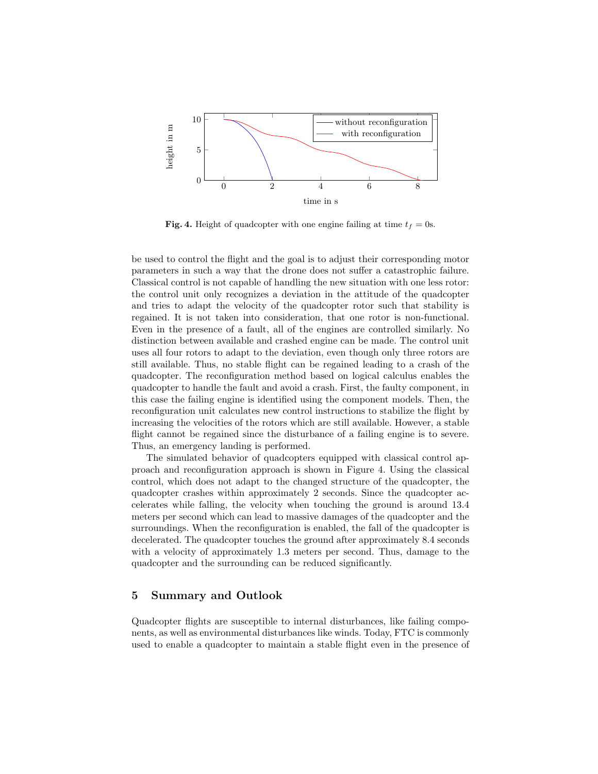

Fig. 4. Height of quadcopter with one engine failing at time  $t_f = 0$ s.

be used to control the flight and the goal is to adjust their corresponding motor parameters in such a way that the drone does not suffer a catastrophic failure. Classical control is not capable of handling the new situation with one less rotor: the control unit only recognizes a deviation in the attitude of the quadcopter and tries to adapt the velocity of the quadcopter rotor such that stability is regained. It is not taken into consideration, that one rotor is non-functional. Even in the presence of a fault, all of the engines are controlled similarly. No distinction between available and crashed engine can be made. The control unit uses all four rotors to adapt to the deviation, even though only three rotors are still available. Thus, no stable flight can be regained leading to a crash of the quadcopter. The reconfiguration method based on logical calculus enables the quadcopter to handle the fault and avoid a crash. First, the faulty component, in this case the failing engine is identified using the component models. Then, the reconfiguration unit calculates new control instructions to stabilize the flight by increasing the velocities of the rotors which are still available. However, a stable flight cannot be regained since the disturbance of a failing engine is to severe. Thus, an emergency landing is performed.

The simulated behavior of quadcopters equipped with classical control approach and reconfiguration approach is shown in Figure 4. Using the classical control, which does not adapt to the changed structure of the quadcopter, the quadcopter crashes within approximately 2 seconds. Since the quadcopter accelerates while falling, the velocity when touching the ground is around 13.4 meters per second which can lead to massive damages of the quadcopter and the surroundings. When the reconfiguration is enabled, the fall of the quadcopter is decelerated. The quadcopter touches the ground after approximately 8.4 seconds with a velocity of approximately 1.3 meters per second. Thus, damage to the quadcopter and the surrounding can be reduced significantly.

# 5 Summary and Outlook

Quadcopter flights are susceptible to internal disturbances, like failing components, as well as environmental disturbances like winds. Today, FTC is commonly used to enable a quadcopter to maintain a stable flight even in the presence of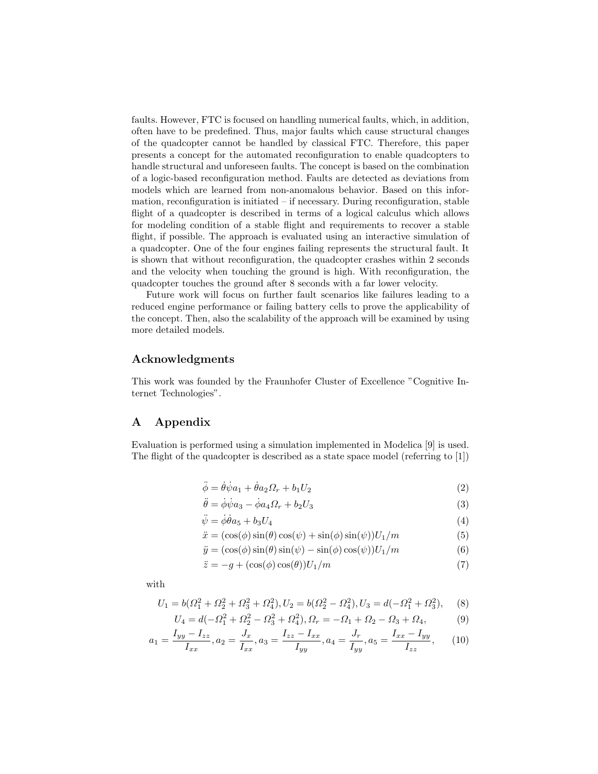faults. However, FTC is focused on handling numerical faults, which, in addition, often have to be predefined. Thus, major faults which cause structural changes of the quadcopter cannot be handled by classical FTC. Therefore, this paper presents a concept for the automated reconfiguration to enable quadcopters to handle structural and unforeseen faults. The concept is based on the combination of a logic-based reconfiguration method. Faults are detected as deviations from models which are learned from non-anomalous behavior. Based on this information, reconfiguration is initiated  $-$  if necessary. During reconfiguration, stable flight of a quadcopter is described in terms of a logical calculus which allows for modeling condition of a stable flight and requirements to recover a stable flight, if possible. The approach is evaluated using an interactive simulation of a quadcopter. One of the four engines failing represents the structural fault. It is shown that without reconfiguration, the quadcopter crashes within 2 seconds and the velocity when touching the ground is high. With reconfiguration, the quadcopter touches the ground after 8 seconds with a far lower velocity.

Future work will focus on further fault scenarios like failures leading to a reduced engine performance or failing battery cells to prove the applicability of the concept. Then, also the scalability of the approach will be examined by using more detailed models.

### Acknowledgments

This work was founded by the Fraunhofer Cluster of Excellence "Cognitive Internet Technologies".

# A Appendix

Evaluation is performed using a simulation implemented in Modelica [9] is used. The flight of the quadcopter is described as a state space model (referring to [1])

$$
\ddot{\phi} = \dot{\theta}\dot{\psi}a_1 + \dot{\theta}a_2\Omega_r + b_1U_2\tag{2}
$$

$$
\ddot{\theta} = \dot{\phi}\dot{\psi}a_3 - \dot{\phi}a_4\Omega_r + b_2U_3\tag{3}
$$

$$
\ddot{\psi} = \dot{\phi}\dot{\theta}a_5 + b_3U_4\tag{4}
$$

$$
\ddot{x} = (\cos(\phi)\sin(\theta)\cos(\psi) + \sin(\phi)\sin(\psi))U_1/m \tag{5}
$$

$$
\ddot{y} = (\cos(\phi)\sin(\theta)\sin(\psi) - \sin(\phi)\cos(\psi))U_1/m \tag{6}
$$

$$
\ddot{z} = -g + (\cos(\phi)\cos(\theta))U_1/m\tag{7}
$$

with

$$
U_1 = b(\Omega_1^2 + \Omega_2^2 + \Omega_3^2 + \Omega_4^2), U_2 = b(\Omega_2^2 - \Omega_4^2), U_3 = d(-\Omega_1^2 + \Omega_3^2),
$$
 (8)

$$
U_4 = d(-\Omega_1^2 + \Omega_2^2 - \Omega_3^2 + \Omega_4^2), \Omega_r = -\Omega_1 + \Omega_2 - \Omega_3 + \Omega_4,\tag{9}
$$

$$
a_1 = \frac{I_{yy} - I_{zz}}{I_{xx}}, a_2 = \frac{J_x}{I_{xx}}, a_3 = \frac{I_{zz} - I_{xx}}{I_{yy}}, a_4 = \frac{J_r}{I_{yy}}, a_5 = \frac{I_{xx} - I_{yy}}{I_{zz}},
$$
(10)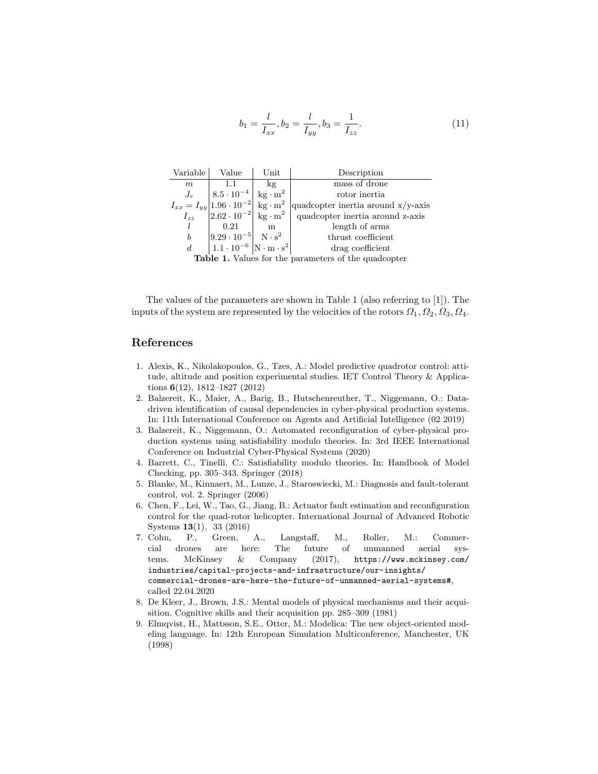$$
b_1 = \frac{l}{I_{xx}}, b_2 = \frac{l}{I_{yy}}, b_3 = \frac{1}{I_{zz}}.
$$
\n(11)

| Variable                                                    | Value                                                                                                       | $\operatorname{Unit}$ | Description                           |
|-------------------------------------------------------------|-------------------------------------------------------------------------------------------------------------|-----------------------|---------------------------------------|
| m                                                           |                                                                                                             | kg                    | mass of drone                         |
| $J_r$                                                       | $ 8.5 \cdot 10^{-4}  \text{ kg} \cdot \text{m}^2$                                                           |                       | rotor inertia                         |
|                                                             | $I_{xx} = I_{yy}  1.96 \cdot 10^{-2}  \text{ kg} \cdot \text{m}^2$                                          |                       | quadcopter inertia around $x/y$ -axis |
| $I_{zz}$                                                    | $ 2.62 \cdot 10^{-2} $ kg · m <sup>2</sup>                                                                  |                       | quadcopter inertia around z-axis      |
|                                                             | 0.21                                                                                                        | m                     | length of arms                        |
| $\boldsymbol{b}$                                            | $\begin{vmatrix} 9.29 \cdot 10^{-5} & N \cdot s^2 \\ 1.1 \cdot 10^{-6} & N \cdot m \cdot s^2 \end{vmatrix}$ |                       | thrust coefficient                    |
| $\boldsymbol{d}$                                            |                                                                                                             |                       | drag coefficient                      |
| <b>Table 1.</b> Values for the parameters of the quadcopter |                                                                                                             |                       |                                       |

The values of the parameters are shown in Table 1 (also referring to [1]). The inputs of the system are represented by the velocities of the rotors  $\Omega_1, \Omega_2, \Omega_3, \Omega_4$ .

#### References

- 1. Alexis, K., Nikolakopoulos, G., Tzes, A.: Model predictive quadrotor control: attitude, altitude and position experimental studies. IET Control Theory & Applications 6(12), 1812–1827 (2012)
- 2. Balzereit, K., Maier, A., Barig, B., Hutschenreuther, T., Niggemann, O.: Datadriven identification of causal dependencies in cyber-physical production systems. In: 11th International Conference on Agents and Artificial Intelligence (02 2019)
- 3. Balzereit, K., Niggemann, O.: Automated reconfiguration of cyber-physical production systems using satisfiability modulo theories. In: 3rd IEEE International Conference on Industrial Cyber-Physical Systems (2020)
- 4. Barrett, C., Tinelli, C.: Satisfiability modulo theories. In: Handbook of Model Checking, pp. 305–343. Springer (2018)
- 5. Blanke, M., Kinnaert, M., Lunze, J., Staroswiecki, M.: Diagnosis and fault-tolerant control, vol. 2. Springer (2006)
- 6. Chen, F., Lei, W., Tao, G., Jiang, B.: Actuator fault estimation and reconfiguration control for the quad-rotor helicopter. International Journal of Advanced Robotic Systems 13(1), 33 (2016)
- 7. Cohn, P., Green, A., Langstaff, M., Roller, M.: Commercial drones are here: The future of unmanned aerial systems. McKinsey & Company (2017), https://www.mckinsey.com/ industries/capital-projects-and-infrastructure/our-insights/ commercial-drones-are-here-the-future-of-unmanned-aerial-systems#, called 22.04.2020
- 8. De Kleer, J., Brown, J.S.: Mental models of physical mechanisms and their acquisition. Cognitive skills and their acquisition pp. 285–309 (1981)
- 9. Elmqvist, H., Mattsson, S.E., Otter, M.: Modelica: The new object-oriented modeling language. In: 12th European Simulation Multiconference, Manchester, UK (1998)